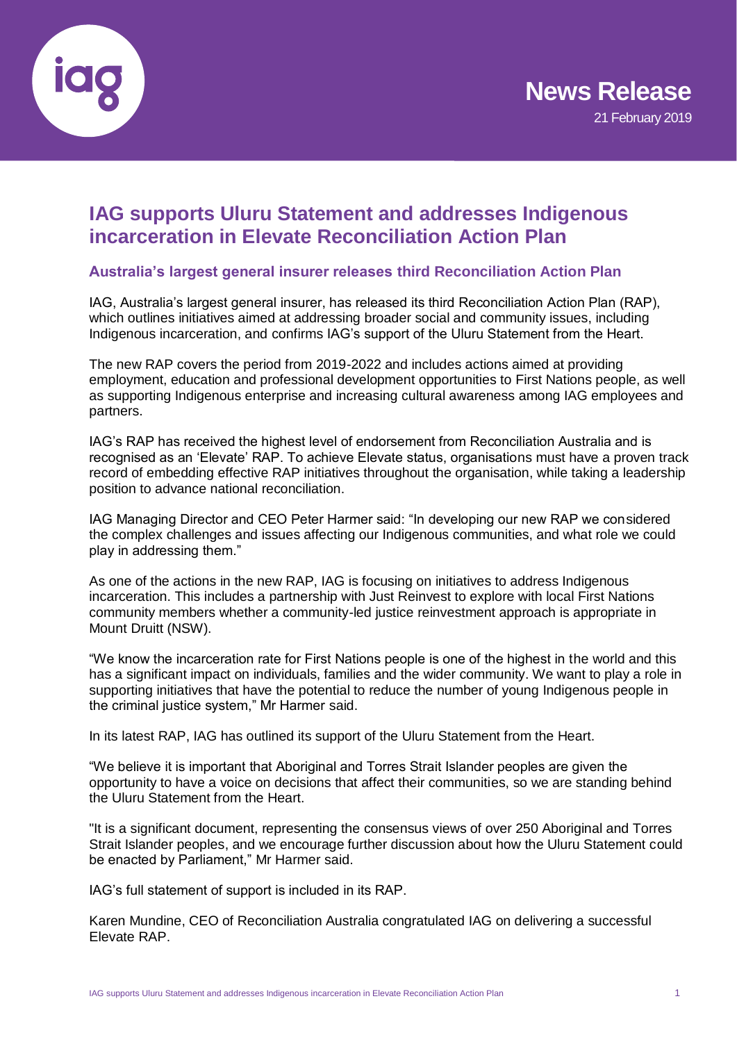

# **IAG supports Uluru Statement and addresses Indigenous incarceration in Elevate Reconciliation Action Plan**

## **Australia's largest general insurer releases third Reconciliation Action Plan**

IAG, Australia's largest general insurer, has released its third Reconciliation Action Plan (RAP), which outlines initiatives aimed at addressing broader social and community issues, including Indigenous incarceration, and confirms IAG's support of the Uluru Statement from the Heart.

The new RAP covers the period from 2019-2022 and includes actions aimed at providing employment, education and professional development opportunities to First Nations people, as well as supporting Indigenous enterprise and increasing cultural awareness among IAG employees and partners.

IAG's RAP has received the highest level of endorsement from Reconciliation Australia and is recognised as an 'Elevate' RAP. To achieve Elevate status, organisations must have a proven track record of embedding effective RAP initiatives throughout the organisation, while taking a leadership position to advance national reconciliation.

IAG Managing Director and CEO Peter Harmer said: "In developing our new RAP we considered the complex challenges and issues affecting our Indigenous communities, and what role we could play in addressing them."

As one of the actions in the new RAP, IAG is focusing on initiatives to address Indigenous incarceration. This includes a partnership with Just Reinvest to explore with local First Nations community members whether a community-led justice reinvestment approach is appropriate in Mount Druitt (NSW).

"We know the incarceration rate for First Nations people is one of the highest in the world and this has a significant impact on individuals, families and the wider community. We want to play a role in supporting initiatives that have the potential to reduce the number of young Indigenous people in the criminal justice system," Mr Harmer said.

In its latest RAP, IAG has outlined its support of the Uluru Statement from the Heart.

"We believe it is important that Aboriginal and Torres Strait Islander peoples are given the opportunity to have a voice on decisions that affect their communities, so we are standing behind the Uluru Statement from the Heart.

"It is a significant document, representing the consensus views of over 250 Aboriginal and Torres Strait Islander peoples, and we encourage further discussion about how the Uluru Statement could be enacted by Parliament," Mr Harmer said.

IAG's full statement of support is included in its RAP.

Karen Mundine, CEO of Reconciliation Australia congratulated IAG on delivering a successful Elevate RAP.